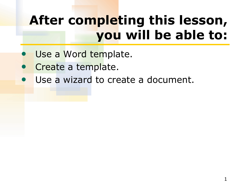# **After completing this lesson, you will be able to:**

- Use a Word template.
- Create a template.
- Use a wizard to create a document.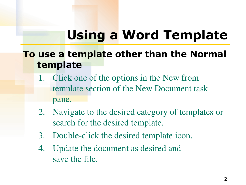## **Using a Word Template**

### **To use a template other than the Normal template**

- 1. Click one of the options in the New from template section of the New Document task pane.
- 2. Navigate to the desired category of templates or search for the desired template.
- 3. Double-click the desired template icon.
- 4. Update the document as desired and save the file.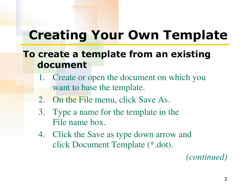## **Creating Your Own Template**

### **To create a template from an existing document**

- 1. Create or open the document on which you want to base the template.
- 2. On the File menu, click Save As.
- 3. Type a name for the template in the File name box.
- 4. Click the Save as type down arrow and click Document Template (\*.dot).

*(continued)*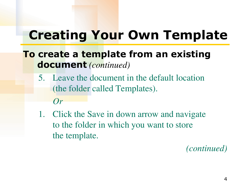## **Creating Your Own Template**

### **To create a template from an existing document** *(continued)*

- 5. Leave the document in the default location (the folder called Templates). *Or*
- 1. Click the Save in down arrow and navigate to the folder in which you want to store the template.

#### *(continued)*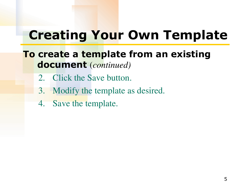### **Creating Your Own Template**

#### **To create a template from an existing document** (*continued)*

- 2. Click the Save button.
- 3. Modify the template as desired.
- 4. Save the template.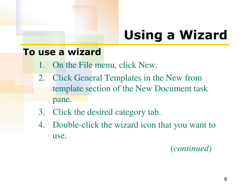# **Using a Wizard**

#### **To use a wizard**

- 1. On the File menu, click New.
- 2. Click General Templates in the New from template section of the New Document task pane.
- 3. Click the desired category tab.
- 4. Double-click the wizard icon that you want to use.

(*continued)*